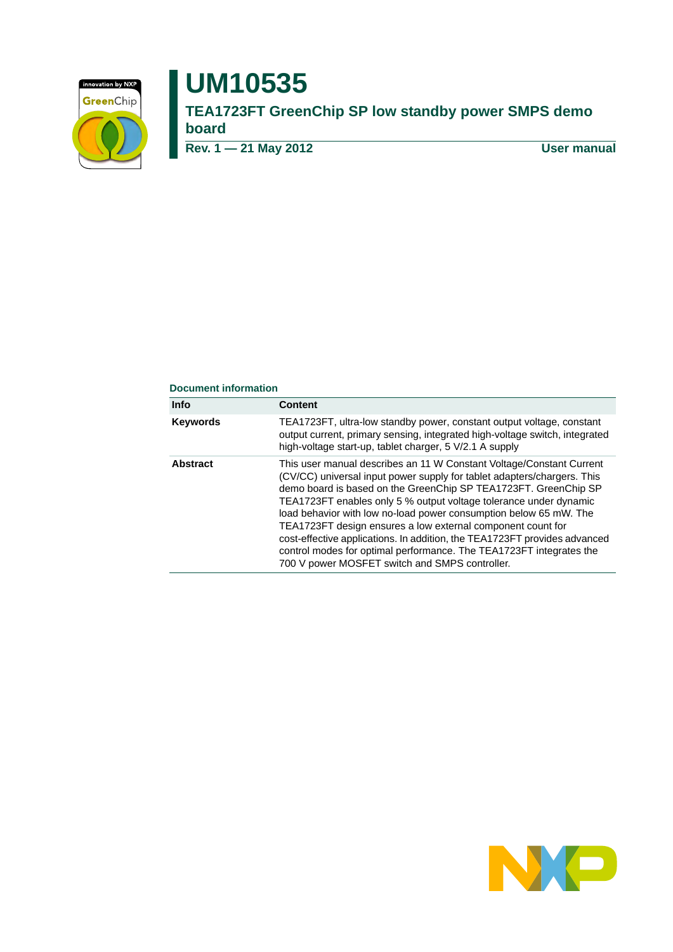

# **UM10535**

**TEA1723FT GreenChip SP low standby power SMPS demo board**

**Rev. 1 — 21 May 2012 User manual**

#### **Document information**

| <b>Info</b>     | <b>Content</b>                                                                                                                                                                                                                                                                                                                                                                                                                                                                                                                                                                                                                    |
|-----------------|-----------------------------------------------------------------------------------------------------------------------------------------------------------------------------------------------------------------------------------------------------------------------------------------------------------------------------------------------------------------------------------------------------------------------------------------------------------------------------------------------------------------------------------------------------------------------------------------------------------------------------------|
| <b>Keywords</b> | TEA1723FT, ultra-low standby power, constant output voltage, constant<br>output current, primary sensing, integrated high-voltage switch, integrated<br>high-voltage start-up, tablet charger, 5 V/2.1 A supply                                                                                                                                                                                                                                                                                                                                                                                                                   |
| Abstract        | This user manual describes an 11 W Constant Voltage/Constant Current<br>(CV/CC) universal input power supply for tablet adapters/chargers. This<br>demo board is based on the GreenChip SP TEA1723FT. GreenChip SP<br>TEA1723FT enables only 5 % output voltage tolerance under dynamic<br>load behavior with low no-load power consumption below 65 mW. The<br>TEA1723FT design ensures a low external component count for<br>cost-effective applications. In addition, the TEA1723FT provides advanced<br>control modes for optimal performance. The TEA1723FT integrates the<br>700 V power MOSFET switch and SMPS controller. |

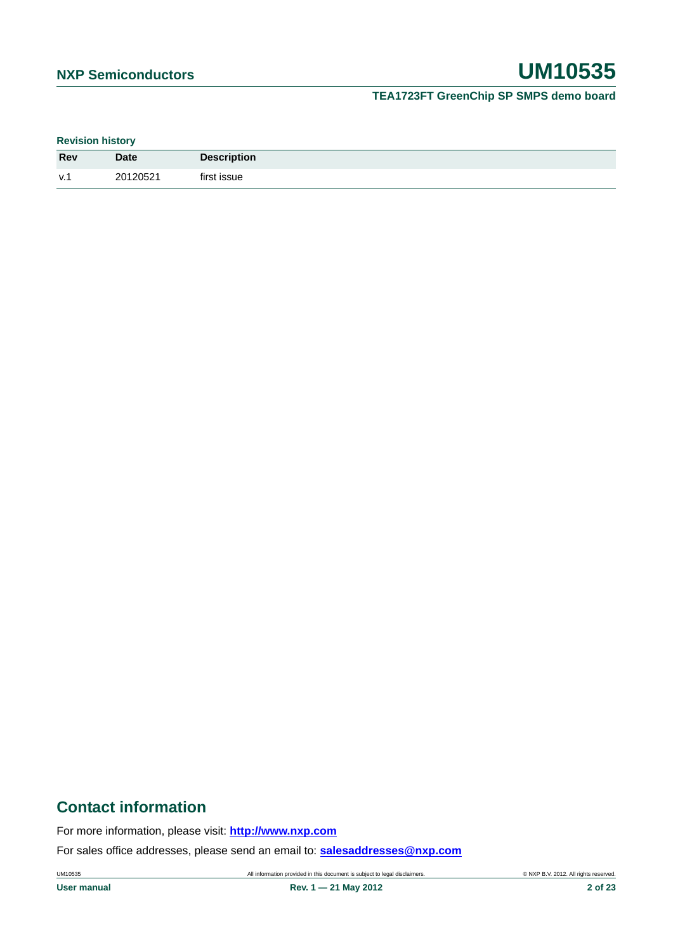**Revision history**

| <b>Rev</b> | <b>Date</b> | <b>Description</b> |
|------------|-------------|--------------------|
| V.1        | 20120521    | first issue        |

## **Contact information**

For more information, please visit: **http://www.nxp.com**

For sales office addresses, please send an email to: **salesaddresses@nxp.com**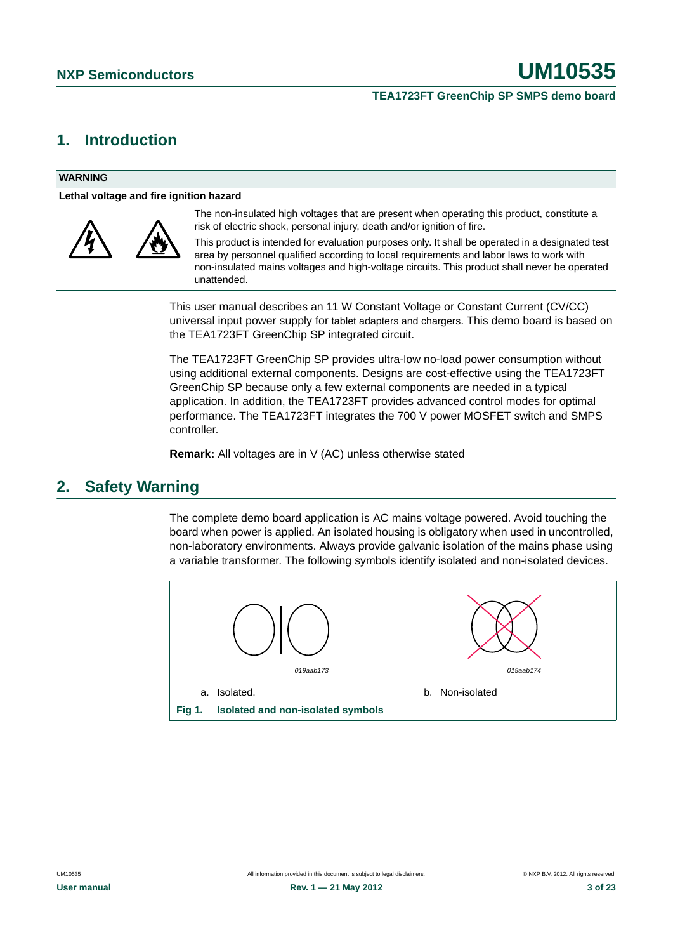## <span id="page-2-0"></span>**1. Introduction**

#### **WARNING**

**Lethal voltage and fire ignition hazard**



The non-insulated high voltages that are present when operating this product, constitute a risk of electric shock, personal injury, death and/or ignition of fire.

This product is intended for evaluation purposes only. It shall be operated in a designated test area by personnel qualified according to local requirements and labor laws to work with non-insulated mains voltages and high-voltage circuits. This product shall never be operated unattended.

This user manual describes an 11 W Constant Voltage or Constant Current (CV/CC) universal input power supply for tablet adapters and chargers. This demo board is based on the TEA1723FT GreenChip SP integrated circuit.

The TEA1723FT GreenChip SP provides ultra-low no-load power consumption without using additional external components. Designs are cost-effective using the TEA1723FT GreenChip SP because only a few external components are needed in a typical application. In addition, the TEA1723FT provides advanced control modes for optimal performance. The TEA1723FT integrates the 700 V power MOSFET switch and SMPS controller.

**Remark:** All voltages are in V (AC) unless otherwise stated

## <span id="page-2-1"></span>**2. Safety Warning**

The complete demo board application is AC mains voltage powered. Avoid touching the board when power is applied. An isolated housing is obligatory when used in uncontrolled, non-laboratory environments. Always provide galvanic isolation of the mains phase using a variable transformer. The following symbols identify isolated and non-isolated devices.

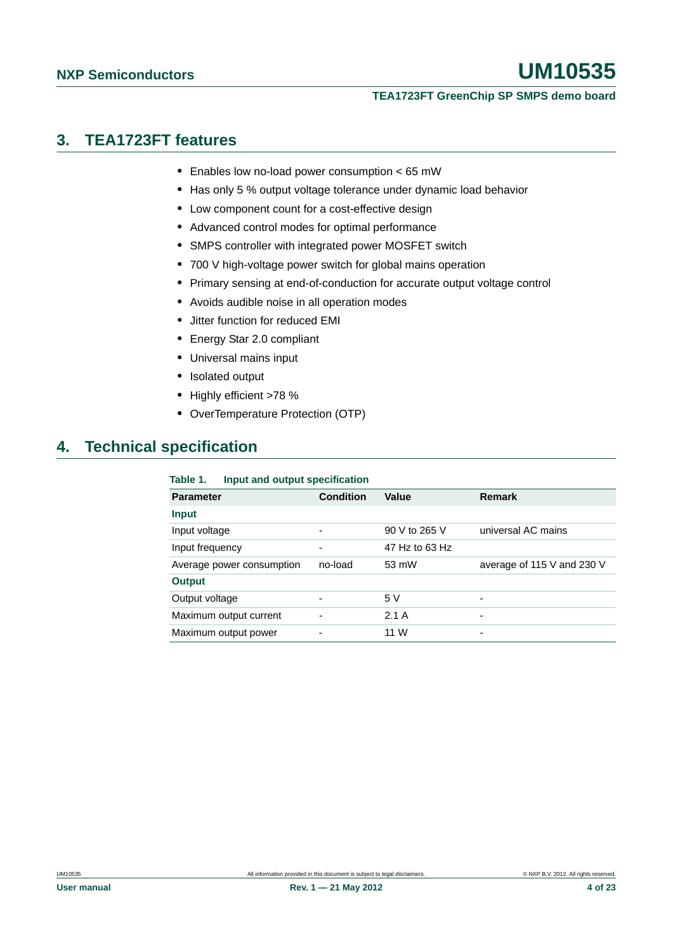### **TEA1723FT GreenChip SP SMPS demo board**

## <span id="page-3-0"></span>**3. TEA1723FT features**

- **•** Enables low no-load power consumption < 65 mW
- **•** Has only 5 % output voltage tolerance under dynamic load behavior
- **•** Low component count for a cost-effective design
- **•** Advanced control modes for optimal performance
- **•** SMPS controller with integrated power MOSFET switch
- **•** 700 V high-voltage power switch for global mains operation
- **•** Primary sensing at end-of-conduction for accurate output voltage control
- **•** Avoids audible noise in all operation modes
- **•** Jitter function for reduced EMI
- **•** Energy Star 2.0 compliant
- **•** Universal mains input
- **•** Isolated output
- **•** Highly efficient >78 %
- **•** OverTemperature Protection (OTP)

## <span id="page-3-1"></span>**4. Technical specification**

| Table 1.<br>Input and output specification |           |                |                            |  |  |  |  |
|--------------------------------------------|-----------|----------------|----------------------------|--|--|--|--|
| <b>Parameter</b>                           | Condition | Value          | <b>Remark</b>              |  |  |  |  |
| <b>Input</b>                               |           |                |                            |  |  |  |  |
| Input voltage                              | ۰         | 90 V to 265 V  | universal AC mains         |  |  |  |  |
| Input frequency                            | ۰         | 47 Hz to 63 Hz |                            |  |  |  |  |
| Average power consumption                  | no-load   | 53 mW          | average of 115 V and 230 V |  |  |  |  |
| <b>Output</b>                              |           |                |                            |  |  |  |  |
| Output voltage                             | ۰         | 5V             | ٠                          |  |  |  |  |
| Maximum output current                     | ۰         | 2.1A           | $\overline{\phantom{0}}$   |  |  |  |  |
| Maximum output power                       | ۰         | 11 W           | ٠                          |  |  |  |  |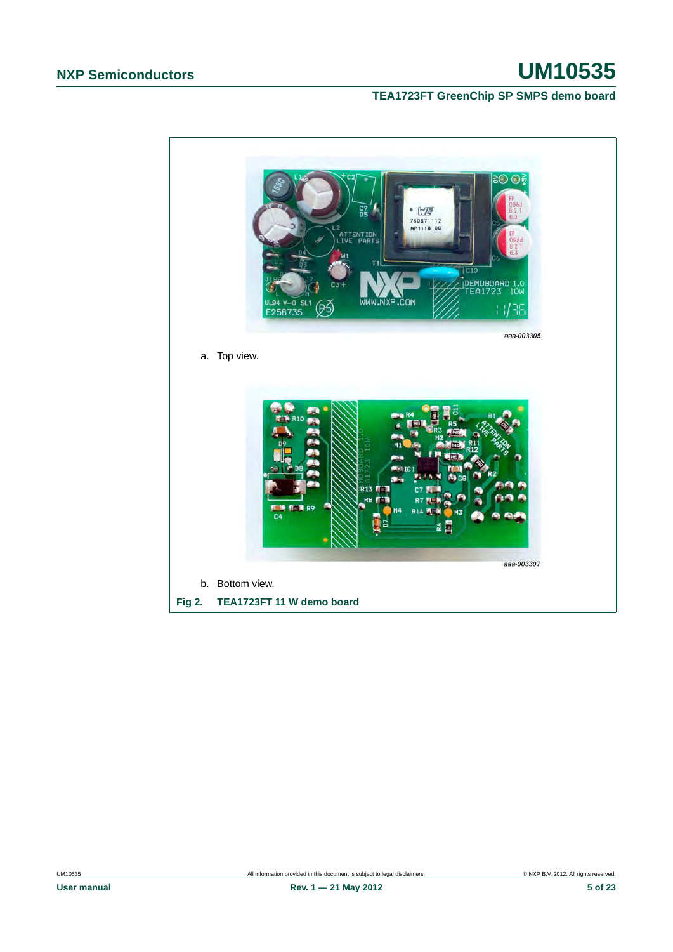## **TEA1723FT GreenChip SP SMPS demo board**

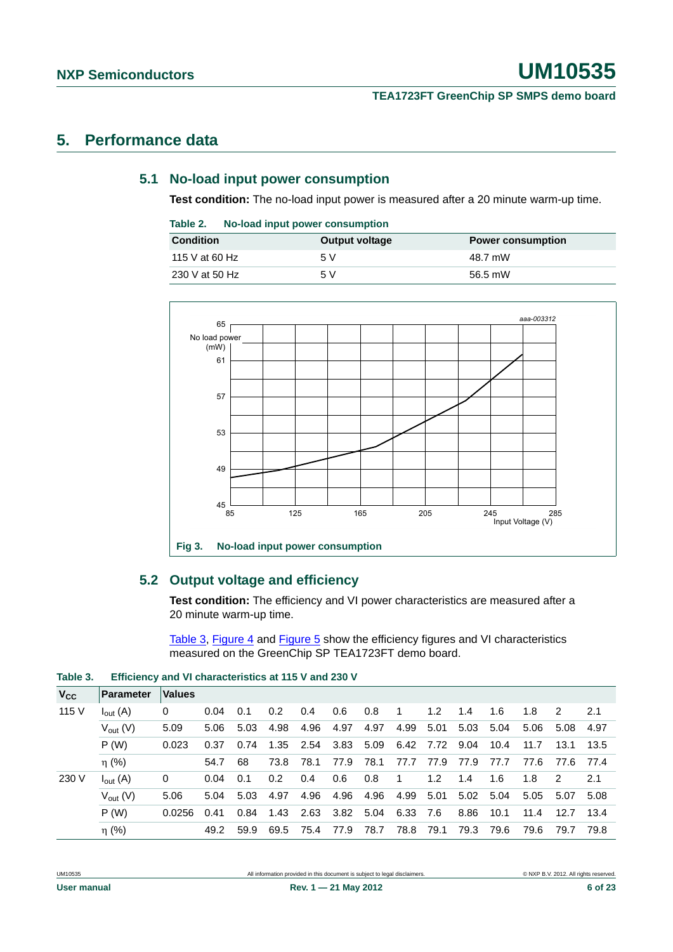## <span id="page-5-2"></span><span id="page-5-1"></span>**5. Performance data**

### **5.1 No-load input power consumption**

**Test condition:** The no-load input power is measured after a 20 minute warm-up time.

| Table 2. |  | No-load input power consumption |
|----------|--|---------------------------------|
|          |  |                                 |

| <b>Condition</b> | <b>Output voltage</b> | <b>Power consumption</b> |
|------------------|-----------------------|--------------------------|
| 115 V at 60 Hz   | .5 V                  | 48.7 mW                  |
| 230 V at 50 Hz   | 5 V                   | 56.5 mW                  |



### <span id="page-5-3"></span>**5.2 Output voltage and efficiency**

**Test condition:** The efficiency and VI power characteristics are measured after a 20 minute warm-up time.

[Table 3](#page-5-0), [Figure 4](#page-6-1) and [Figure 5](#page-6-0) show the efficiency figures and VI characteristics measured on the GreenChip SP TEA1723FT demo board.

<span id="page-5-0"></span>**Table 3. Efficiency and VI characteristics at 115 V and 230 V**

| $V_{\rm CC}$ | <b>Parameter</b>    | <b>Values</b> |      |      |      |                               |      |      |                |      |                     |      |                |                |        |
|--------------|---------------------|---------------|------|------|------|-------------------------------|------|------|----------------|------|---------------------|------|----------------|----------------|--------|
| 115 V        | $I_{\text{out}}(A)$ | 0             | 0.04 | 0.1  | 0.2  | 0.4                           | 0.6  | 0.8  | $\sim$ 1       | 1.2  | 1.4                 | 1.6  | 1.8            | $\overline{2}$ | 2.1    |
|              | $V_{\text{out}}(V)$ | 5.09          | 5.06 | 5.03 | 4.98 | 4.96                          | 4.97 | 4.97 | 4.99           | 5.01 | 5.03 5.04           |      | 5.06           | 5.08 4.97      |        |
|              | P(W)                | 0.023         | 0.37 | 0.74 | 1.35 | 2.54 3.83 5.09 6.42 7.72 9.04 |      |      |                |      |                     | 10.4 | 11.7           | 13.1 13.5      |        |
|              | $\eta$ (%)          |               | 54.7 | -68  | 73.8 | 78.1                          | 77.9 | 78.1 |                |      | 77.7 77.9 77.9 77.7 |      | 77.6 77.6 77.4 |                |        |
| 230 V        | $I_{\text{out}}(A)$ | 0             | 0.04 | 0.1  | 0.2  | 0.4                           | 0.6  | 0.8  | $\overline{1}$ | 1.2  | 1.4                 | 1.6  | 1.8            | $\overline{2}$ | 2.1    |
|              | $V_{\text{out}}(V)$ | 5.06          | 5.04 | 5.03 | 4.97 | 4.96                          | 4.96 | 4.96 | 4.99           | 5.01 | 5.02 5.04           |      | 5.05           | 5.07 5.08      |        |
|              | P(W)                | 0.0256        | 0.41 | 0.84 | 1.43 | 2.63 3.82                     |      | 5.04 | 6.33 7.6       |      | 8.86                | 10.1 | 11.4           | 12.7           | - 13.4 |
|              | $\eta$ (%)          |               | 49.2 | 59.9 | 69.5 | 75.4 77.9                     |      | 78.7 | 78.8 79.1      |      | 79.3                | 79.6 | 79.6           | 79.7           | 79.8   |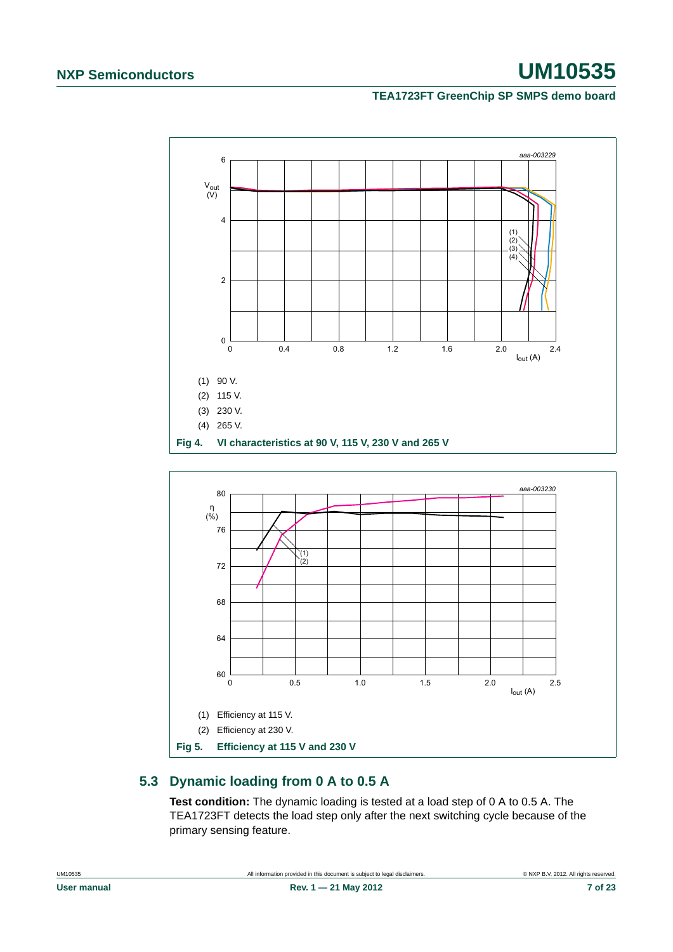### **TEA1723FT GreenChip SP SMPS demo board**

<span id="page-6-1"></span>

### <span id="page-6-2"></span><span id="page-6-0"></span>**5.3 Dynamic loading from 0 A to 0.5 A**

**Test condition:** The dynamic loading is tested at a load step of 0 A to 0.5 A. The TEA1723FT detects the load step only after the next switching cycle because of the primary sensing feature.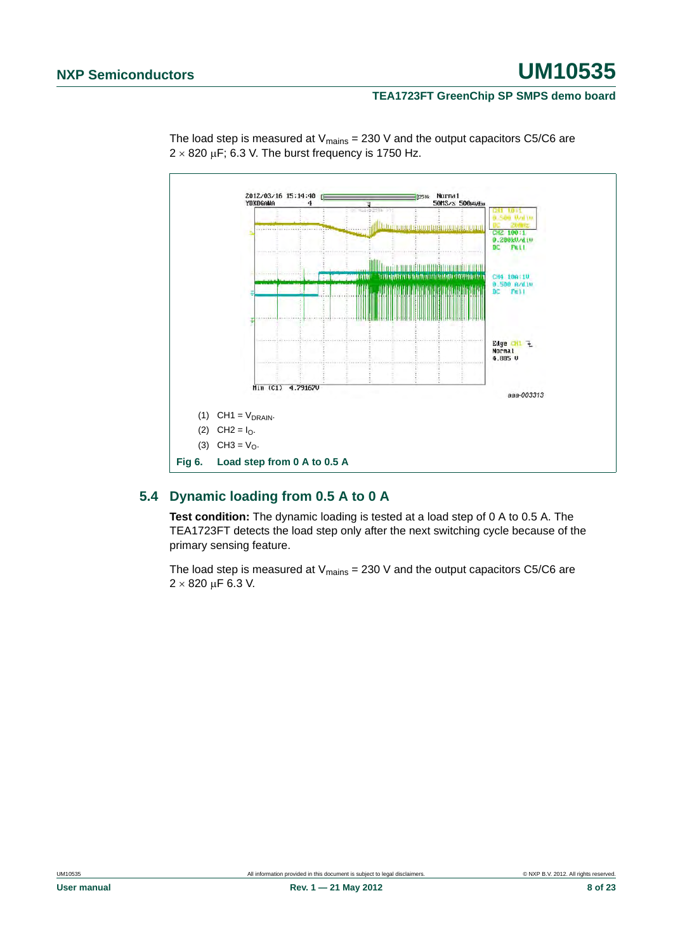### **TEA1723FT GreenChip SP SMPS demo board**



The load step is measured at  $V_{\text{mains}} = 230$  V and the output capacitors C5/C6 are  $2 \times 820$  µF; 6.3 V. The burst frequency is 1750 Hz.

### <span id="page-7-0"></span>**5.4 Dynamic loading from 0.5 A to 0 A**

**Test condition:** The dynamic loading is tested at a load step of 0 A to 0.5 A. The TEA1723FT detects the load step only after the next switching cycle because of the primary sensing feature.

The load step is measured at  $V_{\text{mains}} = 230$  V and the output capacitors C5/C6 are  $2 \times 820 \mu F 6.3 V.$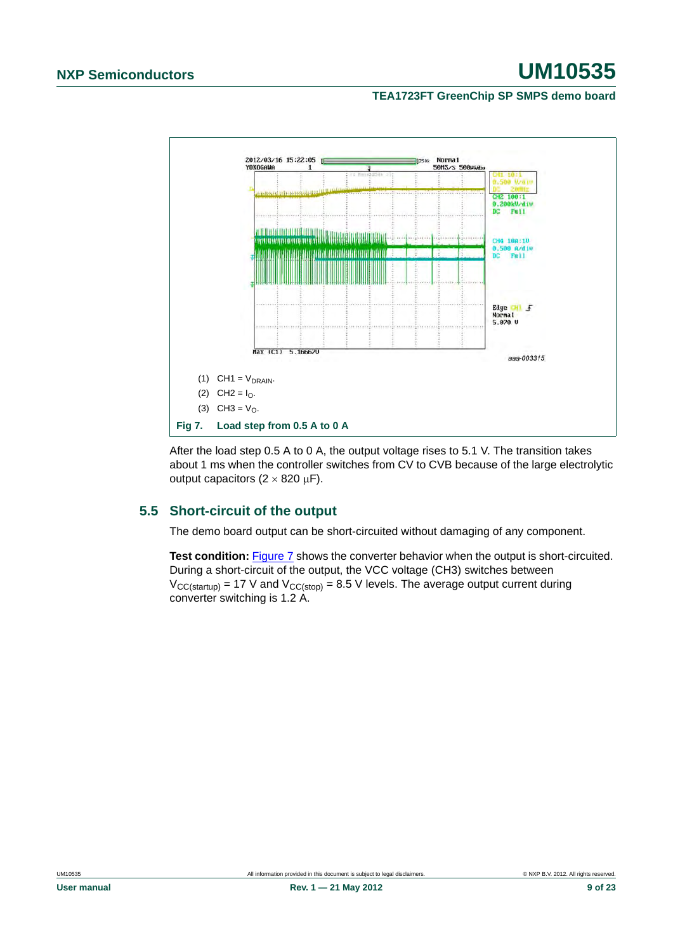### **TEA1723FT GreenChip SP SMPS demo board**



<span id="page-8-0"></span>After the load step 0.5 A to 0 A, the output voltage rises to 5.1 V. The transition takes about 1 ms when the controller switches from CV to CVB because of the large electrolytic output capacitors  $(2 \times 820 \,\mu\text{F})$ .

### <span id="page-8-1"></span>**5.5 Short-circuit of the output**

The demo board output can be short-circuited without damaging of any component.

**Test condition:** [Figure 7](#page-8-0) shows the converter behavior when the output is short-circuited. During a short-circuit of the output, the VCC voltage (CH3) switches between  $V_{CC(statup)}$  = 17 V and  $V_{CC(stop)}$  = 8.5 V levels. The average output current during converter switching is 1.2 A.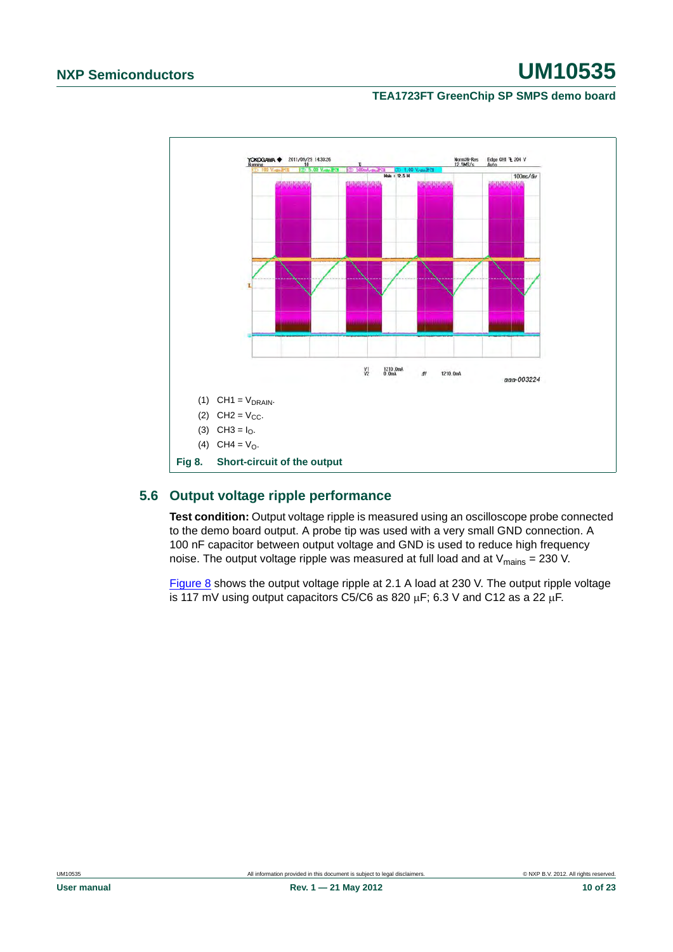### **TEA1723FT GreenChip SP SMPS demo board**



### <span id="page-9-1"></span><span id="page-9-0"></span>**5.6 Output voltage ripple performance**

**Test condition:** Output voltage ripple is measured using an oscilloscope probe connected to the demo board output. A probe tip was used with a very small GND connection. A 100 nF capacitor between output voltage and GND is used to reduce high frequency noise. The output voltage ripple was measured at full load and at  $V_{\text{main}} = 230$  V.

[Figure 8](#page-9-0) shows the output voltage ripple at 2.1 A load at 230 V. The output ripple voltage is 117 mV using output capacitors C5/C6 as 820  $\mu$ F; 6.3 V and C12 as a 22  $\mu$ F.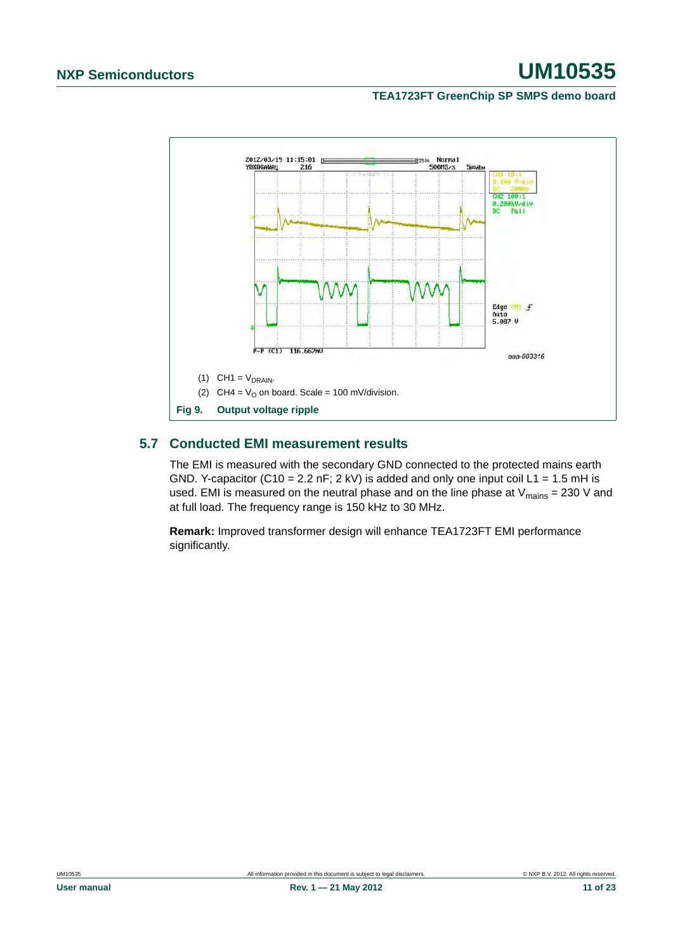### **TEA1723FT GreenChip SP SMPS demo board**



## <span id="page-10-0"></span>**5.7 Conducted EMI measurement results**

The EMI is measured with the secondary GND connected to the protected mains earth GND. Y-capacitor (C10 = 2.2 nF; 2 kV) is added and only one input coil L1 = 1.5 mH is used. EMI is measured on the neutral phase and on the line phase at  $V_{\text{mains}} = 230$  V and at full load. The frequency range is 150 kHz to 30 MHz.

**Remark:** Improved transformer design will enhance TEA1723FT EMI performance significantly.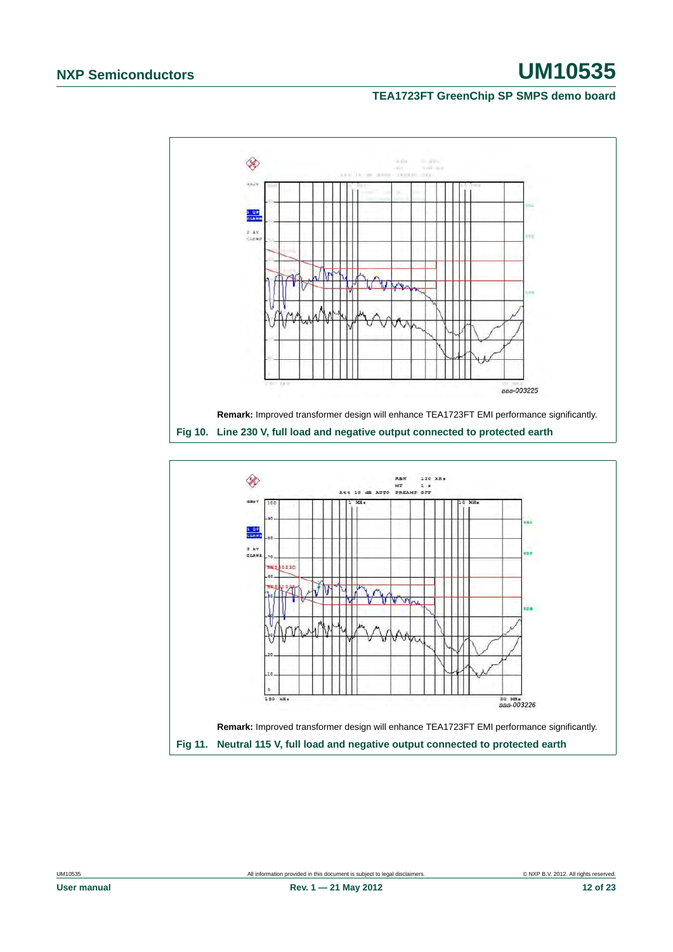### **TEA1723FT GreenChip SP SMPS demo board**





| . . | --------<br>. . | . . |  |
|-----|-----------------|-----|--|
|     |                 |     |  |
|     |                 |     |  |
|     |                 |     |  |
|     |                 |     |  |
|     |                 |     |  |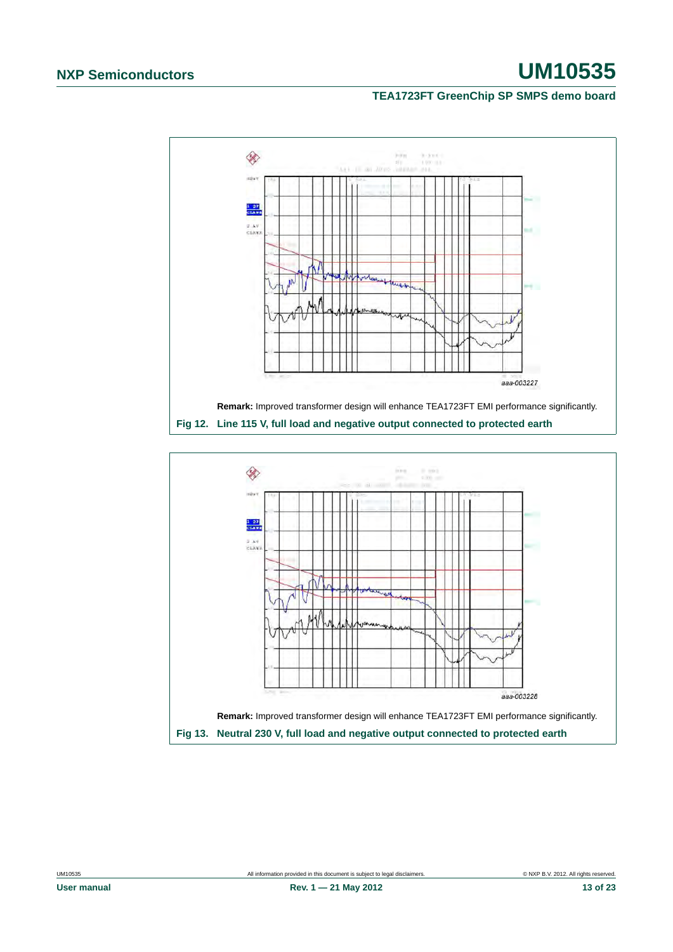### **TEA1723FT GreenChip SP SMPS demo board**



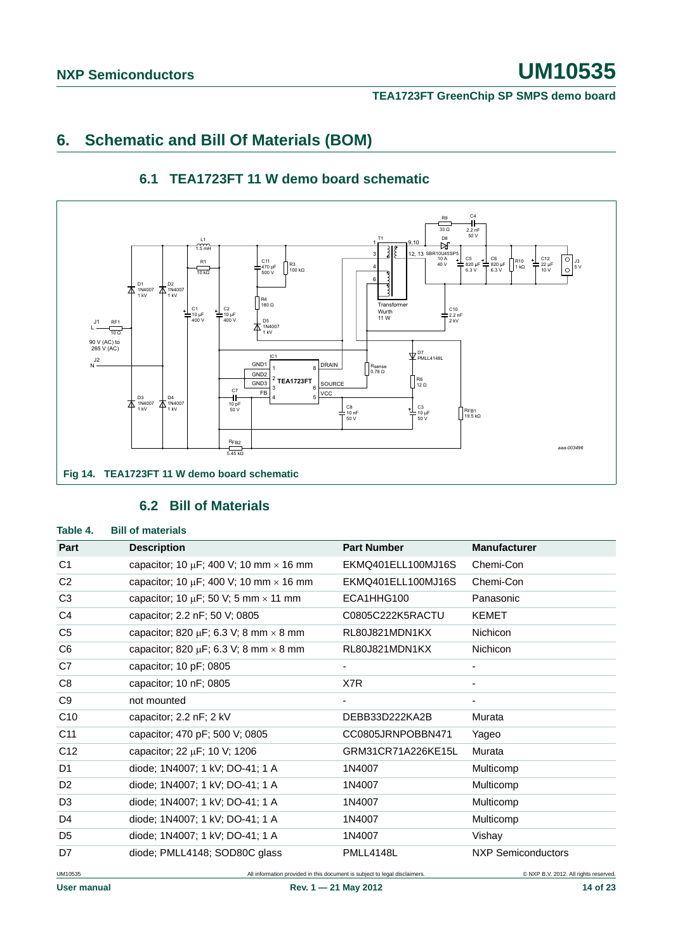### **TEA1723FT GreenChip SP SMPS demo board**

## <span id="page-13-2"></span>**6. Schematic and Bill Of Materials (BOM)**

<span id="page-13-3"></span>

### **6.1 TEA1723FT 11 W demo board schematic**

### **6.2 Bill of Materials**

<span id="page-13-4"></span><span id="page-13-1"></span><span id="page-13-0"></span>

| Table 4. | <b>Bill of materials</b> |
|----------|--------------------------|
|----------|--------------------------|

| Part            | <b>Description</b>                                                         | <b>Part Number</b>       | <b>Manufacturer</b>                   |
|-----------------|----------------------------------------------------------------------------|--------------------------|---------------------------------------|
| C <sub>1</sub>  | capacitor; 10 $\mu$ F; 400 V; 10 mm $\times$ 16 mm                         | EKMQ401ELL100MJ16S       | Chemi-Con                             |
| C <sub>2</sub>  | capacitor; 10 $\mu$ F; 400 V; 10 mm $\times$ 16 mm                         | EKMQ401ELL100MJ16S       | Chemi-Con                             |
| C <sub>3</sub>  | capacitor; 10 $\mu$ F; 50 V; 5 mm $\times$ 11 mm                           | ECA1HHG100               | Panasonic                             |
| C4              | capacitor; 2.2 nF; 50 V; 0805                                              | C0805C222K5RACTU         | <b>KEMET</b>                          |
| C <sub>5</sub>  | capacitor; 820 $\mu$ F; 6.3 V; 8 mm $\times$ 8 mm                          | RL80J821MDN1KX           | <b>Nichicon</b>                       |
| C <sub>6</sub>  | capacitor; 820 $\mu$ F; 6.3 V; 8 mm $\times$ 8 mm                          | RL80J821MDN1KX           | <b>Nichicon</b>                       |
| C7              | capacitor; 10 pF; 0805                                                     | $\overline{\phantom{a}}$ |                                       |
| C8              | capacitor; 10 nF; 0805                                                     | X7R                      | ٠                                     |
| C <sub>9</sub>  | not mounted                                                                | ۰                        |                                       |
| C <sub>10</sub> | capacitor; 2.2 nF; 2 kV                                                    | DEBB33D222KA2B           | Murata                                |
| C <sub>11</sub> | capacitor; 470 pF; 500 V; 0805                                             | CC0805JRNPOBBN471        | Yageo                                 |
| C <sub>12</sub> | capacitor; 22 μF; 10 V; 1206                                               | GRM31CR71A226KE15L       | Murata                                |
| D <sub>1</sub>  | diode; 1N4007; 1 kV; DO-41; 1 A                                            | 1N4007                   | Multicomp                             |
| D <sub>2</sub>  | diode; 1N4007; 1 kV; DO-41; 1 A                                            | 1N4007                   | Multicomp                             |
| D <sub>3</sub>  | diode; 1N4007; 1 kV; DO-41; 1 A                                            | 1N4007                   | Multicomp                             |
| D <sub>4</sub>  | diode; 1N4007; 1 kV; DO-41; 1 A                                            | 1N4007                   | Multicomp                             |
| D <sub>5</sub>  | diode; 1N4007; 1 kV; DO-41; 1 A                                            | 1N4007                   | Vishay                                |
| D7              | diode; PMLL4148; SOD80C glass                                              | PMLL4148L                | <b>NXP Semiconductors</b>             |
| UM10535         | All information provided in this document is subject to legal disclaimers. |                          | C NXP B.V. 2012. All rights reserved. |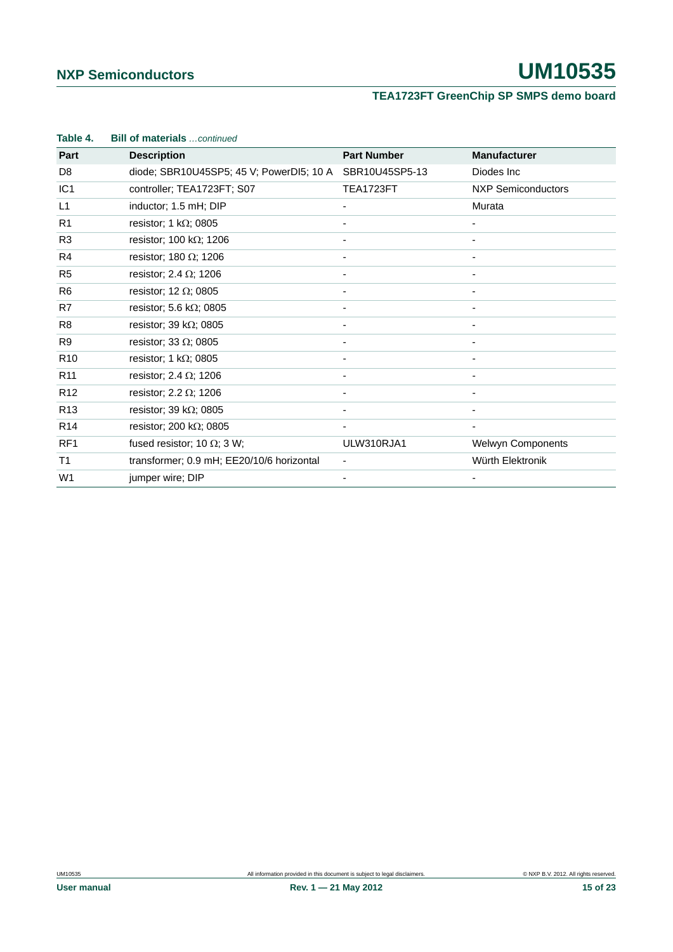## **TEA1723FT GreenChip SP SMPS demo board**

| Table 4.        | <b>Bill of materials</b> continued                      |                    |                           |
|-----------------|---------------------------------------------------------|--------------------|---------------------------|
| Part            | <b>Description</b>                                      | <b>Part Number</b> | <b>Manufacturer</b>       |
| D <sub>8</sub>  | diode; SBR10U45SP5; 45 V; PowerDI5; 10 A SBR10U45SP5-13 |                    | Diodes Inc                |
| IC <sub>1</sub> | controller; TEA1723FT; S07                              | TEA1723FT          | <b>NXP Semiconductors</b> |
| L1              | inductor; 1.5 mH; DIP                                   | ٠                  | Murata                    |
| R <sub>1</sub>  | resistor; $1 k\Omega$ ; 0805                            |                    |                           |
| R <sub>3</sub>  | resistor; 100 k $\Omega$ ; 1206                         |                    |                           |
| R4              | resistor; 180 $\Omega$ ; 1206                           |                    |                           |
| R <sub>5</sub>  | resistor; 2.4 $\Omega$ ; 1206                           |                    |                           |
| R <sub>6</sub>  | resistor; 12 $\Omega$ ; 0805                            |                    |                           |
| R7              | resistor; 5.6 k $\Omega$ ; 0805                         |                    |                           |
| R <sub>8</sub>  | resistor; 39 k $\Omega$ ; 0805                          | -                  |                           |
| R9              | resistor; 33 $\Omega$ ; 0805                            |                    |                           |
| R <sub>10</sub> | resistor; 1 k $\Omega$ ; 0805                           |                    |                           |
| R <sub>11</sub> | resistor; 2.4 $\Omega$ ; 1206                           |                    |                           |
| R <sub>12</sub> | resistor; 2.2 $\Omega$ ; 1206                           |                    |                           |
| R <sub>13</sub> | resistor; 39 k $\Omega$ ; 0805                          |                    |                           |
| R <sub>14</sub> | resistor; 200 k $\Omega$ ; 0805                         | ٠                  |                           |
| RF <sub>1</sub> | fused resistor; 10 $\Omega$ ; 3 W;                      | ULW310RJA1         | <b>Welwyn Components</b>  |
| T1              | transformer; 0.9 mH; EE20/10/6 horizontal               |                    | Würth Elektronik          |
| W <sub>1</sub>  | jumper wire; DIP                                        |                    |                           |
|                 |                                                         |                    |                           |

## **Table 4. Bill of materials** *…continued*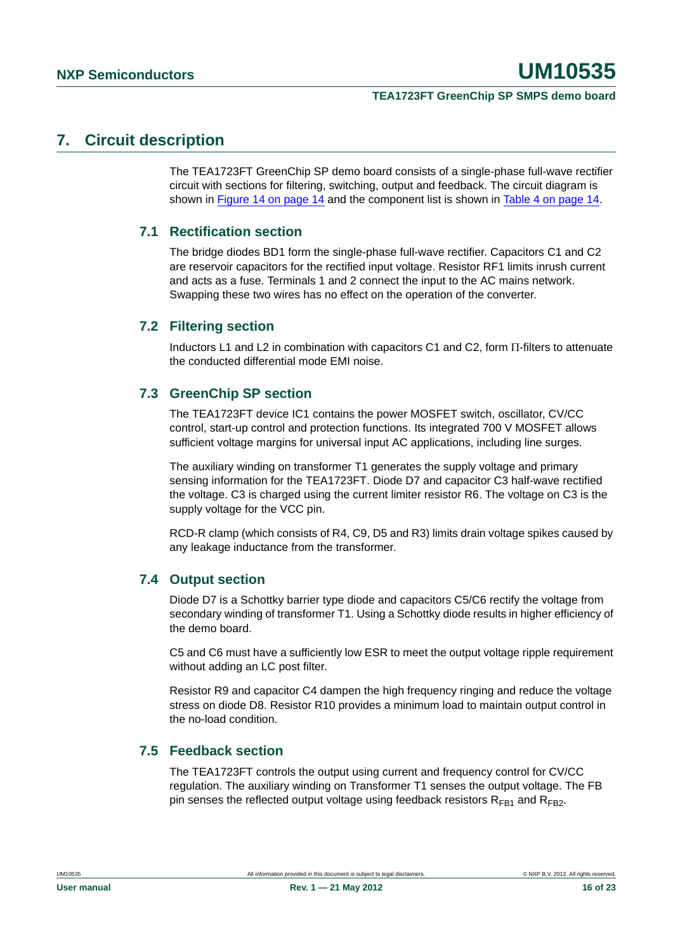## <span id="page-15-0"></span>**7. Circuit description**

The TEA1723FT GreenChip SP demo board consists of a single-phase full-wave rectifier circuit with sections for filtering, switching, output and feedback. The circuit diagram is shown in [Figure 14 on page 14](#page-13-0) and the component list is shown in [Table 4 on page 14](#page-13-1).

### <span id="page-15-1"></span>**7.1 Rectification section**

The bridge diodes BD1 form the single-phase full-wave rectifier. Capacitors C1 and C2 are reservoir capacitors for the rectified input voltage. Resistor RF1 limits inrush current and acts as a fuse. Terminals 1 and 2 connect the input to the AC mains network. Swapping these two wires has no effect on the operation of the converter.

### <span id="page-15-2"></span>**7.2 Filtering section**

Inductors L1 and L2 in combination with capacitors C1 and C2, form  $\Pi$ -filters to attenuate the conducted differential mode EMI noise.

### <span id="page-15-3"></span>**7.3 GreenChip SP section**

The TEA1723FT device IC1 contains the power MOSFET switch, oscillator, CV/CC control, start-up control and protection functions. Its integrated 700 V MOSFET allows sufficient voltage margins for universal input AC applications, including line surges.

The auxiliary winding on transformer T1 generates the supply voltage and primary sensing information for the TEA1723FT. Diode D7 and capacitor C3 half-wave rectified the voltage. C3 is charged using the current limiter resistor R6. The voltage on C3 is the supply voltage for the VCC pin.

RCD-R clamp (which consists of R4, C9, D5 and R3) limits drain voltage spikes caused by any leakage inductance from the transformer.

### <span id="page-15-4"></span>**7.4 Output section**

Diode D7 is a Schottky barrier type diode and capacitors C5/C6 rectify the voltage from secondary winding of transformer T1. Using a Schottky diode results in higher efficiency of the demo board.

C5 and C6 must have a sufficiently low ESR to meet the output voltage ripple requirement without adding an LC post filter.

Resistor R9 and capacitor C4 dampen the high frequency ringing and reduce the voltage stress on diode D8. Resistor R10 provides a minimum load to maintain output control in the no-load condition.

### <span id="page-15-5"></span>**7.5 Feedback section**

The TEA1723FT controls the output using current and frequency control for CV/CC regulation. The auxiliary winding on Transformer T1 senses the output voltage. The FB pin senses the reflected output voltage using feedback resistors  $R_{FR1}$  and  $R_{FR2}$ .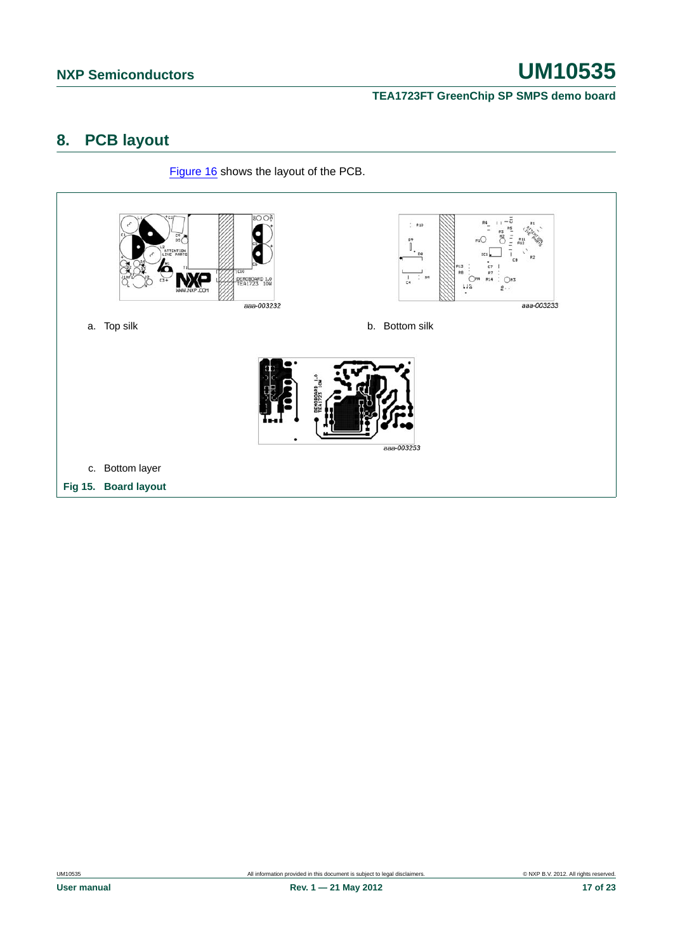**TEA1723FT GreenChip SP SMPS demo board**

## <span id="page-16-0"></span>**8. PCB layout**

[Figure 16](#page-17-0) shows the layout of the PCB.

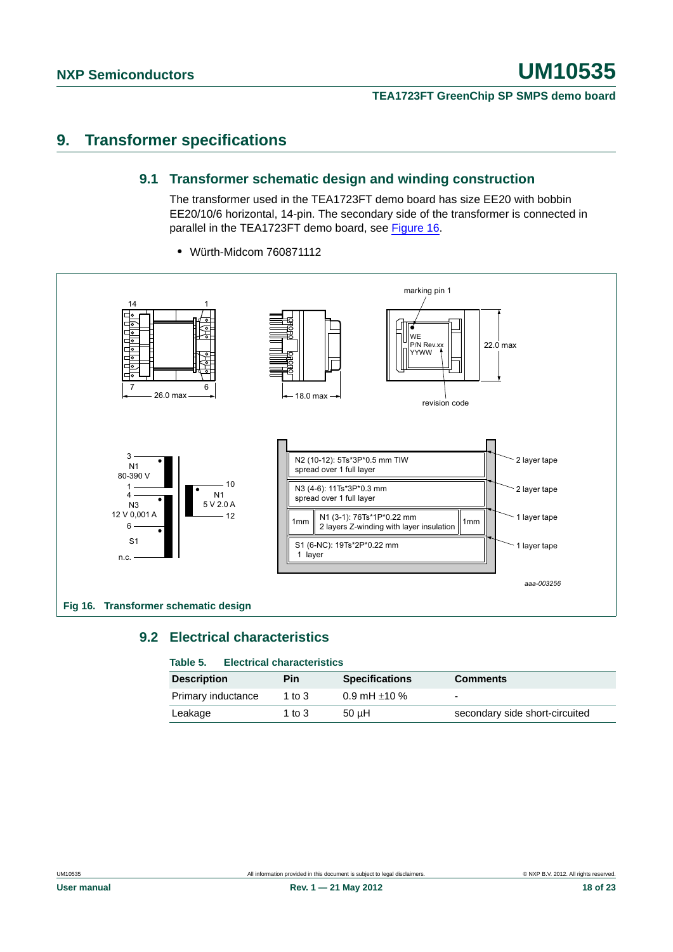## <span id="page-17-2"></span><span id="page-17-1"></span>**9. Transformer specifications**

### **9.1 Transformer schematic design and winding construction**

The transformer used in the TEA1723FT demo board has size EE20 with bobbin EE20/10/6 horizontal, 14-pin. The secondary side of the transformer is connected in parallel in the TEA1723FT demo board, see [Figure 16.](#page-17-0)



**•** Würth-Midcom 760871112

## <span id="page-17-3"></span><span id="page-17-0"></span>**9.2 Electrical characteristics**

### **Table 5. Electrical characteristics**

| <b>Description</b> | Pin      | <b>Specifications</b> | <b>Comments</b>                |
|--------------------|----------|-----------------------|--------------------------------|
| Primary inductance | 1 to $3$ | 0.9 mH $\pm$ 10 %     | -                              |
| Leakage            | 1 to $3$ | $50$ uH               | secondary side short-circuited |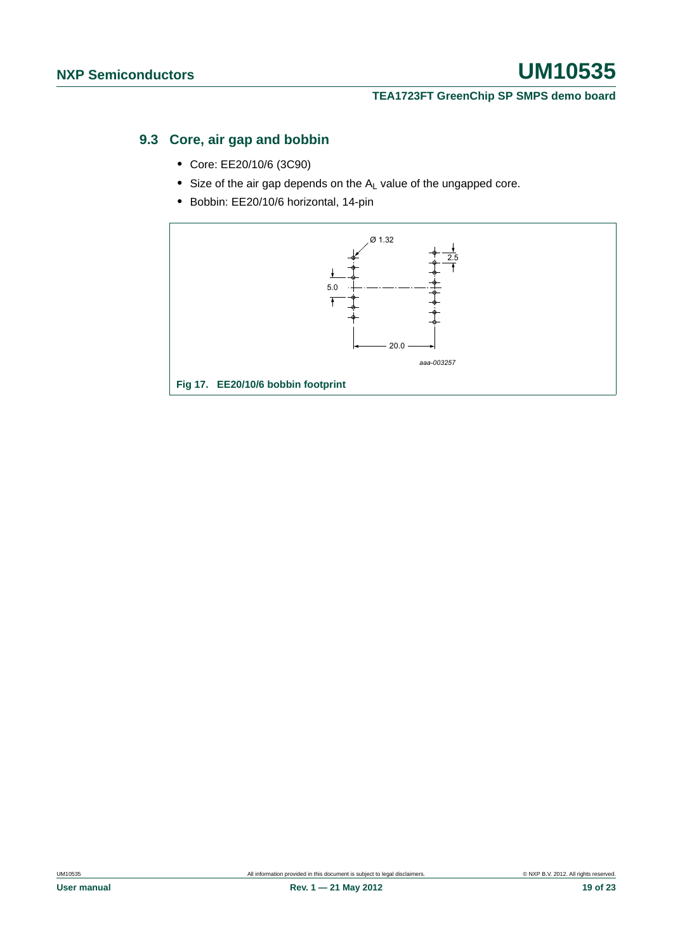### **TEA1723FT GreenChip SP SMPS demo board**

## <span id="page-18-0"></span>**9.3 Core, air gap and bobbin**

- **•** Core: EE20/10/6 (3C90)
- Size of the air gap depends on the A<sub>L</sub> value of the ungapped core.
- **•** Bobbin: EE20/10/6 horizontal, 14-pin

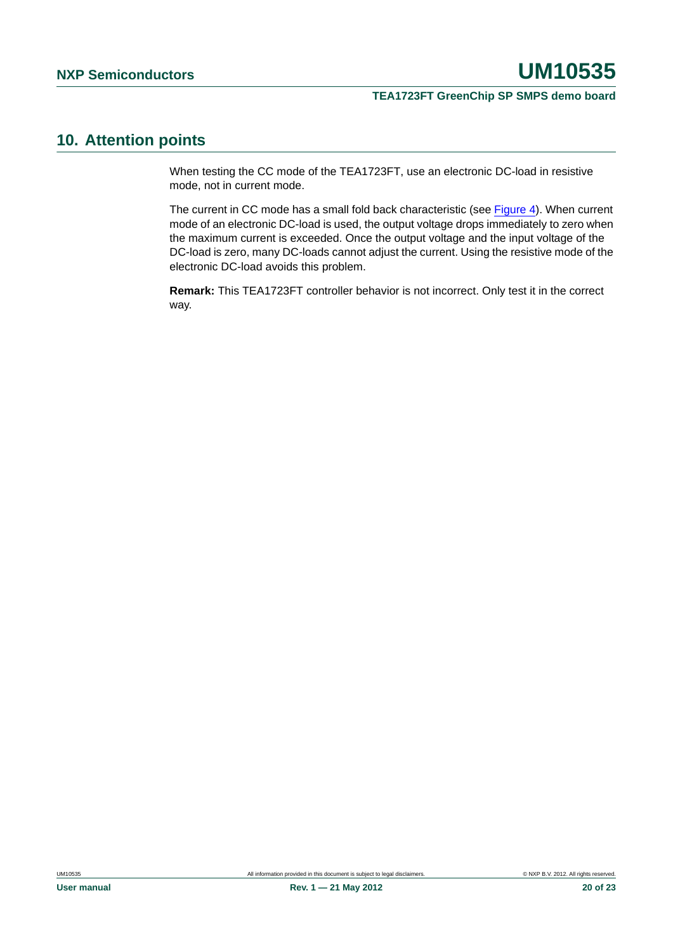### **TEA1723FT GreenChip SP SMPS demo board**

## <span id="page-19-0"></span>**10. Attention points**

When testing the CC mode of the TEA1723FT, use an electronic DC-load in resistive mode, not in current mode.

The current in CC mode has a small fold back characteristic (see [Figure 4](#page-6-1)). When current mode of an electronic DC-load is used, the output voltage drops immediately to zero when the maximum current is exceeded. Once the output voltage and the input voltage of the DC-load is zero, many DC-loads cannot adjust the current. Using the resistive mode of the electronic DC-load avoids this problem.

**Remark:** This TEA1723FT controller behavior is not incorrect. Only test it in the correct way.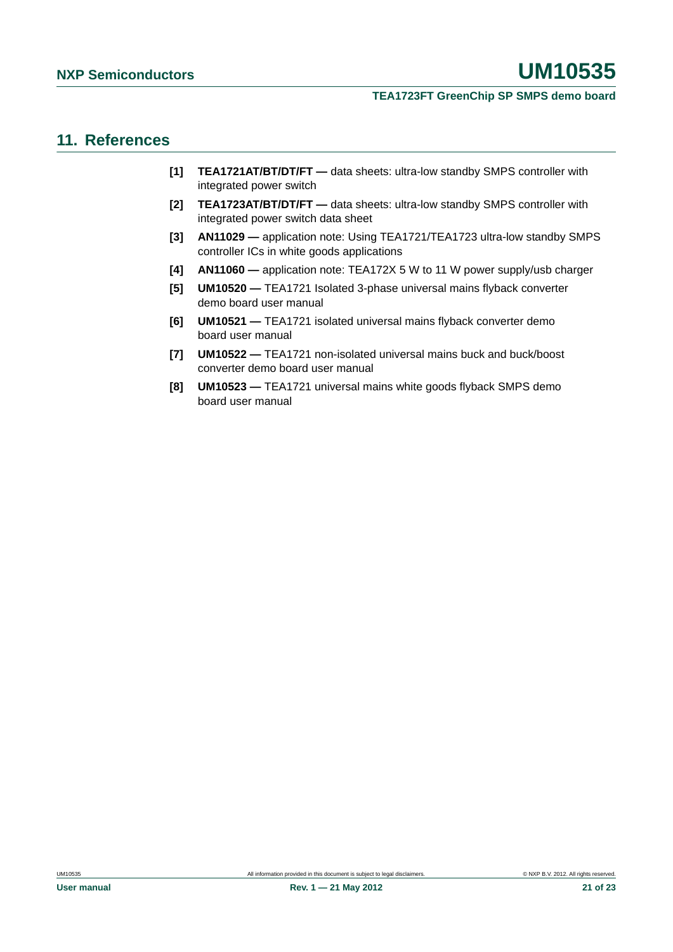### **TEA1723FT GreenChip SP SMPS demo board**

## <span id="page-20-0"></span>**11. References**

- **[1] TEA1721AT/BT/DT/FT** data sheets: ultra-low standby SMPS controller with integrated power switch
- **[2] TEA1723AT/BT/DT/FT** data sheets: ultra-low standby SMPS controller with integrated power switch data sheet
- **[3] AN11029** application note: Using TEA1721/TEA1723 ultra-low standby SMPS controller ICs in white goods applications
- **[4] AN11060** application note: TEA172X 5 W to 11 W power supply/usb charger
- **[5] UM10520** TEA1721 Isolated 3-phase universal mains flyback converter demo board user manual
- **[6] UM10521** TEA1721 isolated universal mains flyback converter demo board user manual
- **[7] UM10522** TEA1721 non-isolated universal mains buck and buck/boost converter demo board user manual
- **[8] UM10523** TEA1721 universal mains white goods flyback SMPS demo board user manual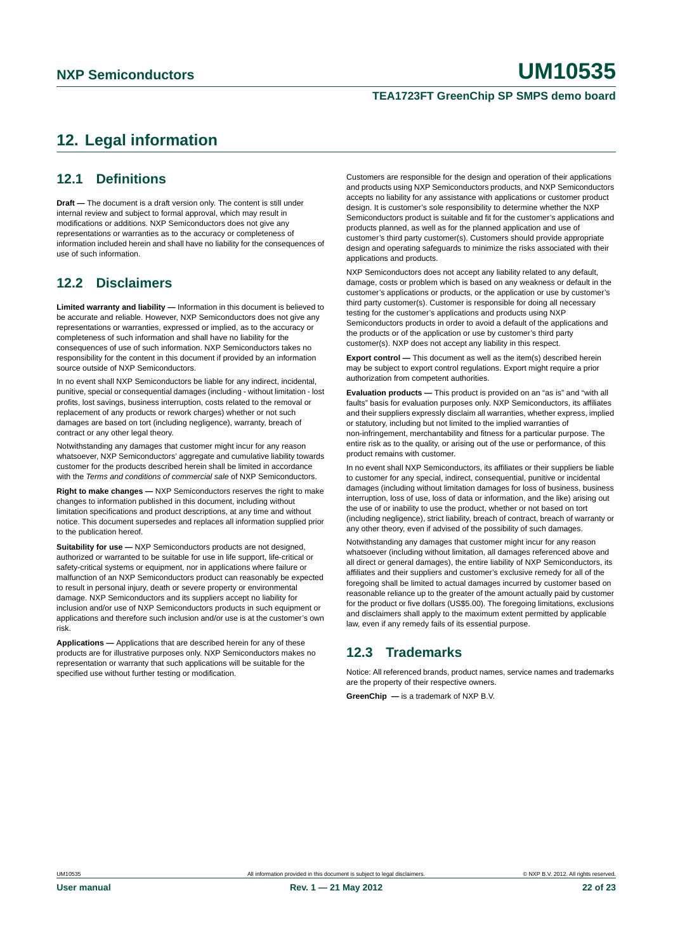### **TEA1723FT GreenChip SP SMPS demo board**

## <span id="page-21-0"></span>**12. Legal information**

## <span id="page-21-1"></span>**12.1 Definitions**

**Draft —** The document is a draft version only. The content is still under internal review and subject to formal approval, which may result in modifications or additions. NXP Semiconductors does not give any representations or warranties as to the accuracy or completeness of information included herein and shall have no liability for the consequences of use of such information.

## <span id="page-21-2"></span>**12.2 Disclaimers**

**Limited warranty and liability —** Information in this document is believed to be accurate and reliable. However, NXP Semiconductors does not give any representations or warranties, expressed or implied, as to the accuracy or completeness of such information and shall have no liability for the consequences of use of such information. NXP Semiconductors takes no responsibility for the content in this document if provided by an information source outside of NXP Semiconductors.

In no event shall NXP Semiconductors be liable for any indirect, incidental, punitive, special or consequential damages (including - without limitation - lost profits, lost savings, business interruption, costs related to the removal or replacement of any products or rework charges) whether or not such damages are based on tort (including negligence), warranty, breach of contract or any other legal theory.

Notwithstanding any damages that customer might incur for any reason whatsoever, NXP Semiconductors' aggregate and cumulative liability towards customer for the products described herein shall be limited in accordance with the *Terms and conditions of commercial sale* of NXP Semiconductors.

**Right to make changes —** NXP Semiconductors reserves the right to make changes to information published in this document, including without limitation specifications and product descriptions, at any time and without notice. This document supersedes and replaces all information supplied prior to the publication hereof.

**Suitability for use —** NXP Semiconductors products are not designed, authorized or warranted to be suitable for use in life support, life-critical or safety-critical systems or equipment, nor in applications where failure or malfunction of an NXP Semiconductors product can reasonably be expected to result in personal injury, death or severe property or environmental damage. NXP Semiconductors and its suppliers accept no liability for inclusion and/or use of NXP Semiconductors products in such equipment or applications and therefore such inclusion and/or use is at the customer's own risk.

**Applications —** Applications that are described herein for any of these products are for illustrative purposes only. NXP Semiconductors makes no representation or warranty that such applications will be suitable for the specified use without further testing or modification.

Customers are responsible for the design and operation of their applications and products using NXP Semiconductors products, and NXP Semiconductors accepts no liability for any assistance with applications or customer product design. It is customer's sole responsibility to determine whether the NXP Semiconductors product is suitable and fit for the customer's applications and products planned, as well as for the planned application and use of customer's third party customer(s). Customers should provide appropriate design and operating safeguards to minimize the risks associated with their applications and products.

NXP Semiconductors does not accept any liability related to any default, damage, costs or problem which is based on any weakness or default in the customer's applications or products, or the application or use by customer's third party customer(s). Customer is responsible for doing all necessary testing for the customer's applications and products using NXP Semiconductors products in order to avoid a default of the applications and the products or of the application or use by customer's third party customer(s). NXP does not accept any liability in this respect.

**Export control —** This document as well as the item(s) described herein may be subject to export control regulations. Export might require a prior authorization from competent authorities.

**Evaluation products —** This product is provided on an "as is" and "with all faults" basis for evaluation purposes only. NXP Semiconductors, its affiliates and their suppliers expressly disclaim all warranties, whether express, implied or statutory, including but not limited to the implied warranties of non-infringement, merchantability and fitness for a particular purpose. The entire risk as to the quality, or arising out of the use or performance, of this product remains with customer.

In no event shall NXP Semiconductors, its affiliates or their suppliers be liable to customer for any special, indirect, consequential, punitive or incidental damages (including without limitation damages for loss of business, business interruption, loss of use, loss of data or information, and the like) arising out the use of or inability to use the product, whether or not based on tort (including negligence), strict liability, breach of contract, breach of warranty or any other theory, even if advised of the possibility of such damages.

Notwithstanding any damages that customer might incur for any reason whatsoever (including without limitation, all damages referenced above and all direct or general damages), the entire liability of NXP Semiconductors, its affiliates and their suppliers and customer's exclusive remedy for all of the foregoing shall be limited to actual damages incurred by customer based on reasonable reliance up to the greater of the amount actually paid by customer for the product or five dollars (US\$5.00). The foregoing limitations, exclusions and disclaimers shall apply to the maximum extent permitted by applicable law, even if any remedy fails of its essential purpose.

## <span id="page-21-3"></span>**12.3 Trademarks**

Notice: All referenced brands, product names, service names and trademarks are the property of their respective owners.

**GreenChip —** is a trademark of NXP B.V.